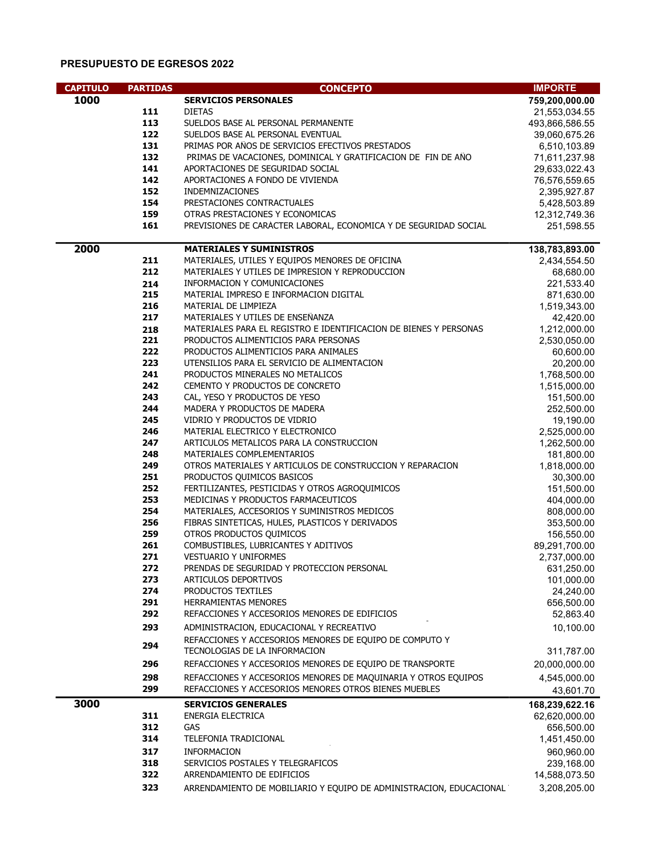## PRESUPUESTO DE EGRESOS 2022

| <b>CAPITULO</b> | <b>PARTIDAS</b> | <b>CONCEPTO</b>                                                                                                         | <b>IMPORTE</b>              |
|-----------------|-----------------|-------------------------------------------------------------------------------------------------------------------------|-----------------------------|
| 1000            |                 | <b>SERVICIOS PERSONALES</b>                                                                                             | 759,200,000.00              |
|                 | 111             | <b>DIETAS</b>                                                                                                           | 21,553,034.55               |
|                 | 113             | SUELDOS BASE AL PERSONAL PERMANENTE                                                                                     | 493,866,586.55              |
|                 | 122             | SUELDOS BASE AL PERSONAL EVENTUAL                                                                                       | 39,060,675.26               |
|                 | 131             | PRIMAS POR AÑOS DE SERVICIOS EFECTIVOS PRESTADOS                                                                        | 6,510,103.89                |
|                 | 132             | PRIMAS DE VACACIONES, DOMINICAL Y GRATIFICACION DE FIN DE AÑO                                                           | 71,611,237.98               |
|                 | 141             | APORTACIONES DE SEGURIDAD SOCIAL                                                                                        | 29,633,022.43               |
|                 | 142             | APORTACIONES A FONDO DE VIVIENDA                                                                                        | 76,576,559.65               |
|                 | 152             | <b>INDEMNIZACIONES</b>                                                                                                  | 2,395,927.87                |
|                 | 154             | PRESTACIONES CONTRACTUALES                                                                                              | 5,428,503.89                |
|                 | 159             | OTRAS PRESTACIONES Y ECONOMICAS                                                                                         | 12,312,749.36               |
|                 | 161             | PREVISIONES DE CARÁCTER LABORAL, ECONOMICA Y DE SEGURIDAD SOCIAL                                                        | 251,598.55                  |
| 2000            |                 | <b>MATERIALES Y SUMINISTROS</b>                                                                                         | 138,783,893.00              |
|                 | 211<br>212      | MATERIALES, UTILES Y EQUIPOS MENORES DE OFICINA                                                                         | 2,434,554.50                |
|                 | 214             | MATERIALES Y UTILES DE IMPRESION Y REPRODUCCION<br>INFORMACION Y COMUNICACIONES                                         | 68,680.00<br>221,533.40     |
|                 | 215             | MATERIAL IMPRESO E INFORMACION DIGITAL                                                                                  | 871,630.00                  |
|                 | 216             | MATERIAL DE LIMPIEZA                                                                                                    | 1,519,343.00                |
|                 | 217             | MATERIALES Y UTILES DE ENSEÑANZA                                                                                        | 42,420.00                   |
|                 | 218             | MATERIALES PARA EL REGISTRO E IDENTIFICACION DE BIENES Y PERSONAS                                                       | 1,212,000.00                |
|                 | 221             | PRODUCTOS ALIMENTICIOS PARA PERSONAS                                                                                    | 2,530,050.00                |
|                 | 222             | PRODUCTOS ALIMENTICIOS PARA ANIMALES                                                                                    | 60,600.00                   |
|                 | 223             | UTENSILIOS PARA EL SERVICIO DE ALIMENTACION                                                                             | 20,200.00                   |
|                 | 241             | PRODUCTOS MINERALES NO METALICOS                                                                                        | 1,768,500.00                |
|                 | 242             | CEMENTO Y PRODUCTOS DE CONCRETO                                                                                         | 1,515,000.00                |
|                 | 243             | CAL, YESO Y PRODUCTOS DE YESO                                                                                           | 151,500.00                  |
|                 | 244             | MADERA Y PRODUCTOS DE MADERA                                                                                            | 252,500.00                  |
|                 | 245             | VIDRIO Y PRODUCTOS DE VIDRIO                                                                                            | 19,190.00                   |
|                 | 246<br>247      | MATERIAL ELECTRICO Y ELECTRONICO<br>ARTICULOS METALICOS PARA LA CONSTRUCCION                                            | 2,525,000.00                |
|                 | 248             | MATERIALES COMPLEMENTARIOS                                                                                              | 1,262,500.00<br>181,800.00  |
|                 | 249             | OTROS MATERIALES Y ARTICULOS DE CONSTRUCCION Y REPARACION                                                               | 1,818,000.00                |
|                 | 251             | PRODUCTOS QUIMICOS BASICOS                                                                                              | 30,300.00                   |
|                 | 252             | FERTILIZANTES, PESTICIDAS Y OTROS AGROQUIMICOS                                                                          | 151,500.00                  |
|                 | 253             | MEDICINAS Y PRODUCTOS FARMACEUTICOS                                                                                     | 404,000.00                  |
|                 | 254             | MATERIALES, ACCESORIOS Y SUMINISTROS MEDICOS                                                                            | 808,000.00                  |
|                 | 256             | FIBRAS SINTETICAS, HULES, PLASTICOS Y DERIVADOS                                                                         | 353,500.00                  |
|                 | 259             | OTROS PRODUCTOS QUIMICOS                                                                                                | 156,550.00                  |
|                 | 261             | COMBUSTIBLES, LUBRICANTES Y ADITIVOS                                                                                    | 89,291,700.00               |
|                 | 271             | <b>VESTUARIO Y UNIFORMES</b>                                                                                            | 2,737,000.00                |
|                 | 272             | PRENDAS DE SEGURIDAD Y PROTECCION PERSONAL                                                                              | 631,250.00                  |
|                 | 273<br>274      | ARTICULOS DEPORTIVOS<br>PRODUCTOS TEXTILES                                                                              | 101,000.00                  |
|                 | 291             | <b>HERRAMIENTAS MENORES</b>                                                                                             | 24,240.00<br>656,500.00     |
|                 | 292             | REFACCIONES Y ACCESORIOS MENORES DE EDIFICIOS                                                                           | 52,863.40                   |
|                 | 293             | ADMINISTRACION, EDUCACIONAL Y RECREATIVO                                                                                | 10,100.00                   |
|                 | 294             | REFACCIONES Y ACCESORIOS MENORES DE EQUIPO DE COMPUTO Y                                                                 |                             |
|                 | 296             | TECNOLOGIAS DE LA INFORMACION<br>REFACCIONES Y ACCESORIOS MENORES DE EQUIPO DE TRANSPORTE                               | 311,787.00<br>20,000,000.00 |
|                 | 298             |                                                                                                                         |                             |
|                 | 299             | REFACCIONES Y ACCESORIOS MENORES DE MAQUINARIA Y OTROS EQUIPOS<br>REFACCIONES Y ACCESORIOS MENORES OTROS BIENES MUEBLES | 4,545,000.00                |
| 3000            |                 | <b>SERVICIOS GENERALES</b>                                                                                              | 43,601.70<br>168,239,622.16 |
|                 | 311             | ENERGIA ELECTRICA                                                                                                       | 62,620,000.00               |
|                 | 312             | GAS                                                                                                                     | 656,500.00                  |
|                 | 314             | TELEFONIA TRADICIONAL                                                                                                   | 1,451,450.00                |
|                 | 317             | <b>INFORMACION</b>                                                                                                      | 960,960.00                  |
|                 | 318             | SERVICIOS POSTALES Y TELEGRAFICOS                                                                                       | 239,168.00                  |
|                 | 322             | ARRENDAMIENTO DE EDIFICIOS                                                                                              | 14,588,073.50               |
|                 | 323             | ARRENDAMIENTO DE MOBILIARIO Y EQUIPO DE ADMINISTRACION, EDUCACIONAL                                                     | 3,208,205.00                |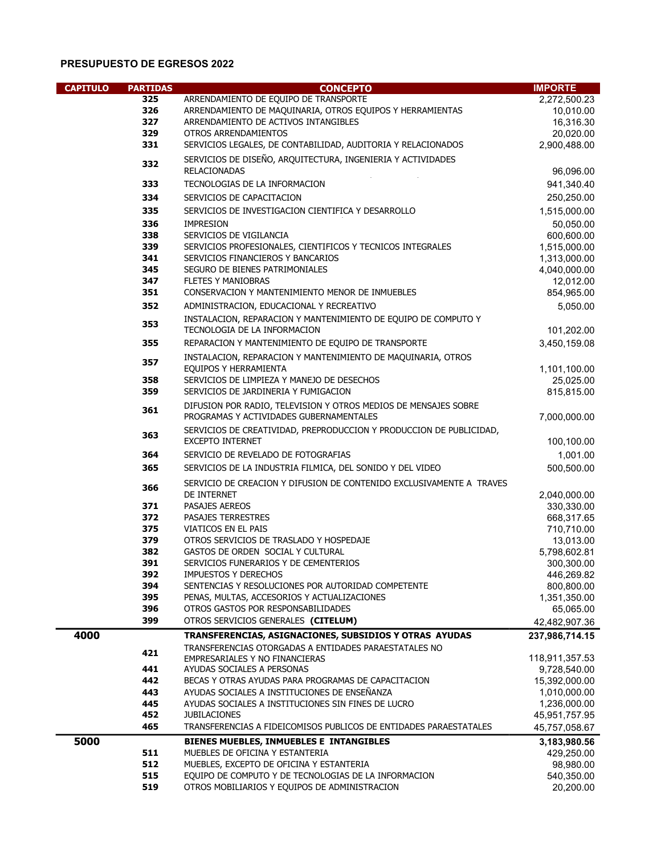## PRESUPUESTO DE EGRESOS 2022

| <b>CAPITULO</b> | <b>PARTIDAS</b> | <b>CONCEPTO</b>                                                                                            | <b>IMPORTE</b>           |
|-----------------|-----------------|------------------------------------------------------------------------------------------------------------|--------------------------|
|                 | 325             | ARRENDAMIENTO DE EQUIPO DE TRANSPORTE                                                                      | 2,272,500.23             |
|                 | 326             | ARRENDAMIENTO DE MAQUINARIA, OTROS EQUIPOS Y HERRAMIENTAS                                                  | 10,010.00                |
|                 | 327             | ARRENDAMIENTO DE ACTIVOS INTANGIBLES                                                                       | 16,316.30                |
|                 | 329             | OTROS ARRENDAMIENTOS                                                                                       | 20,020.00                |
|                 | 331             | SERVICIOS LEGALES, DE CONTABILIDAD, AUDITORIA Y RELACIONADOS                                               | 2,900,488.00             |
|                 | 332             | SERVICIOS DE DISEÑO, ARQUITECTURA, INGENIERIA Y ACTIVIDADES<br><b>RELACIONADAS</b>                         | 96,096.00                |
|                 | 333             | TECNOLOGIAS DE LA INFORMACION                                                                              | 941,340.40               |
|                 |                 |                                                                                                            |                          |
|                 | 334             | SERVICIOS DE CAPACITACION                                                                                  | 250,250.00               |
|                 | 335             | SERVICIOS DE INVESTIGACION CIENTIFICA Y DESARROLLO                                                         | 1,515,000.00             |
|                 | 336             | <b>IMPRESION</b>                                                                                           | 50,050.00                |
|                 | 338             | SERVICIOS DE VIGILANCIA                                                                                    | 600,600.00               |
|                 | 339             | SERVICIOS PROFESIONALES, CIENTIFICOS Y TECNICOS INTEGRALES                                                 | 1,515,000.00             |
|                 | 341             | SERVICIOS FINANCIEROS Y BANCARIOS                                                                          | 1,313,000.00             |
|                 | 345             | SEGURO DE BIENES PATRIMONIALES                                                                             | 4,040,000.00             |
|                 | 347             | <b>FLETES Y MANIOBRAS</b>                                                                                  | 12,012.00                |
|                 | 351             | CONSERVACION Y MANTENIMIENTO MENOR DE INMUEBLES                                                            | 854,965.00               |
|                 | 352             | ADMINISTRACION, EDUCACIONAL Y RECREATIVO                                                                   | 5,050.00                 |
|                 | 353             | INSTALACION, REPARACION Y MANTENIMIENTO DE EQUIPO DE COMPUTO Y<br>TECNOLOGIA DE LA INFORMACION             | 101,202.00               |
|                 | 355             | REPARACION Y MANTENIMIENTO DE EQUIPO DE TRANSPORTE                                                         | 3,450,159.08             |
|                 | 357             | INSTALACION, REPARACION Y MANTENIMIENTO DE MAQUINARIA, OTROS                                               |                          |
|                 |                 | EQUIPOS Y HERRAMIENTA                                                                                      | 1,101,100.00             |
|                 | 358             | SERVICIOS DE LIMPIEZA Y MANEJO DE DESECHOS                                                                 | 25,025.00                |
|                 | 359             | SERVICIOS DE JARDINERIA Y FUMIGACION                                                                       | 815,815.00               |
|                 | 361             | DIFUSION POR RADIO, TELEVISION Y OTROS MEDIOS DE MENSAJES SOBRE<br>PROGRAMAS Y ACTIVIDADES GUBERNAMENTALES | 7,000,000.00             |
|                 | 363             | SERVICIOS DE CREATIVIDAD, PREPRODUCCION Y PRODUCCION DE PUBLICIDAD,<br><b>EXCEPTO INTERNET</b>             | 100,100.00               |
|                 | 364             | SERVICIO DE REVELADO DE FOTOGRAFIAS                                                                        | 1,001.00                 |
|                 | 365             | SERVICIOS DE LA INDUSTRIA FILMICA, DEL SONIDO Y DEL VIDEO                                                  | 500,500.00               |
|                 |                 |                                                                                                            |                          |
|                 | 366             | SERVICIO DE CREACION Y DIFUSION DE CONTENIDO EXCLUSIVAMENTE A TRAVES<br>DE INTERNET                        | 2,040,000.00             |
|                 | 371             | PASAJES AEREOS                                                                                             | 330,330.00               |
|                 | 372             | PASAJES TERRESTRES                                                                                         | 668,317.65               |
|                 | 375             | VIATICOS EN EL PAIS                                                                                        | 710,710.00               |
|                 | 379             | OTROS SERVICIOS DE TRASLADO Y HOSPEDAJE                                                                    | 13,013.00                |
|                 | 382             | GASTOS DE ORDEN SOCIAL Y CULTURAL                                                                          | 5,798,602.81             |
|                 | 391<br>392      | SERVICIOS FUNERARIOS Y DE CEMENTERIOS<br><b>IMPUESTOS Y DERECHOS</b>                                       | 300,300.00               |
|                 | 394             | SENTENCIAS Y RESOLUCIONES POR AUTORIDAD COMPETENTE                                                         | 446,269.82<br>800,800.00 |
|                 | 395             | PENAS, MULTAS, ACCESORIOS Y ACTUALIZACIONES                                                                | 1,351,350.00             |
|                 | 396             | OTROS GASTOS POR RESPONSABILIDADES                                                                         | 65,065.00                |
|                 | 399             | OTROS SERVICIOS GENERALES (CITELUM)                                                                        | 42,482,907.36            |
| 4000            |                 | TRANSFERENCIAS, ASIGNACIONES, SUBSIDIOS Y OTRAS AYUDAS                                                     | 237,986,714.15           |
|                 |                 | TRANSFERENCIAS OTORGADAS A ENTIDADES PARAESTATALES NO                                                      |                          |
|                 | 421             | EMPRESARIALES Y NO FINANCIERAS                                                                             | 118,911,357.53           |
|                 | 441             | AYUDAS SOCIALES A PERSONAS                                                                                 | 9,728,540.00             |
|                 | 442             | BECAS Y OTRAS AYUDAS PARA PROGRAMAS DE CAPACITACION                                                        | 15,392,000.00            |
|                 | 443             | AYUDAS SOCIALES A INSTITUCIONES DE ENSEÑANZA                                                               | 1,010,000.00             |
|                 | 445             | AYUDAS SOCIALES A INSTITUCIONES SIN FINES DE LUCRO                                                         | 1,236,000.00             |
|                 | 452             | <b>JUBILACIONES</b>                                                                                        | 45,951,757.95            |
|                 | 465             | TRANSFERENCIAS A FIDEICOMISOS PUBLICOS DE ENTIDADES PARAESTATALES                                          | 45,757,058.67            |
| 5000            |                 | BIENES MUEBLES, INMUEBLES E INTANGIBLES                                                                    | 3,183,980.56             |
|                 | 511             | MUEBLES DE OFICINA Y ESTANTERIA                                                                            | 429,250.00               |
|                 | 512             | MUEBLES, EXCEPTO DE OFICINA Y ESTANTERIA                                                                   | 98,980.00                |
|                 | 515             | EQUIPO DE COMPUTO Y DE TECNOLOGIAS DE LA INFORMACION                                                       | 540,350.00               |
|                 | 519             | OTROS MOBILIARIOS Y EQUIPOS DE ADMINISTRACION                                                              | 20,200.00                |